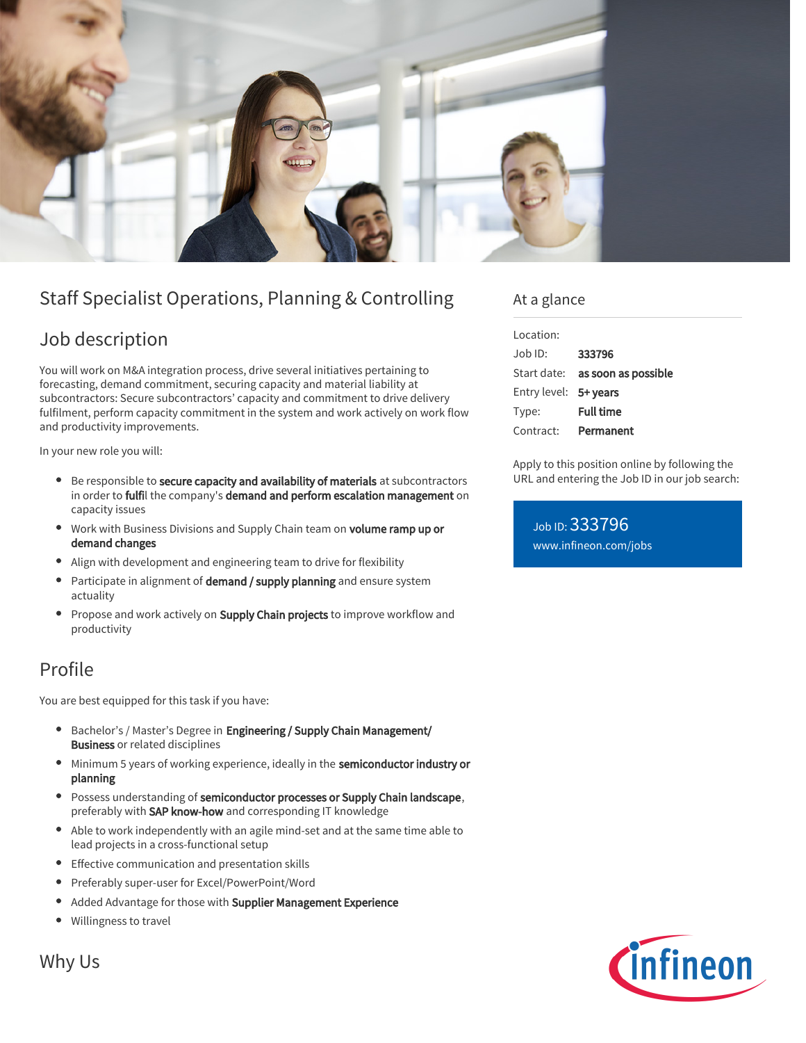

# Staff Specialist Operations, Planning & Controlling

## Job description

You will work on M&A integration process, drive several initiatives pertaining to forecasting, demand commitment, securing capacity and material liability at subcontractors: Secure subcontractors' capacity and commitment to drive delivery fulfilment, perform capacity commitment in the system and work actively on work flow and productivity improvements.

In your new role you will:

- **Be responsible to secure capacity and availability of materials** at subcontractors in order to fulfil the company's demand and perform escalation management on capacity issues
- $\bullet$ Work with Business Divisions and Supply Chain team on volume ramp up or demand changes
- Align with development and engineering team to drive for flexibility
- Participate in alignment of **demand / supply planning** and ensure system actuality
- Propose and work actively on **Supply Chain projects** to improve workflow and  $\bullet$ productivity

### Profile

You are best equipped for this task if you have:

- Bachelor's / Master's Degree in Engineering / Supply Chain Management/ Business or related disciplines
- Minimum 5 years of working experience, ideally in the semiconductor industry or planning
- **Possess understanding of semiconductor processes or Supply Chain landscape,** preferably with SAP know-how and corresponding IT knowledge
- Able to work independently with an agile mind-set and at the same time able to lead projects in a cross-functional setup
- $\bullet$ Effective communication and presentation skills
- $\bullet$ Preferably super-user for Excel/PowerPoint/Word
- Added Advantage for those with Supplier Management Experience  $\bullet$
- $\bullet$ Willingness to travel

#### At a glance

| Location:             |                                        |
|-----------------------|----------------------------------------|
| Job ID:               | 333796                                 |
|                       | Start date: <b>as soon as possible</b> |
| Entry level: 5+ years |                                        |
| Type:                 | <b>Full time</b>                       |
| Contract:             | Permanent                              |
|                       |                                        |

Apply to this position online by following the URL and entering the Job ID in our job search:

Job ID: 333796 [www.infineon.com/jobs](https://www.infineon.com/jobs)



Why Us